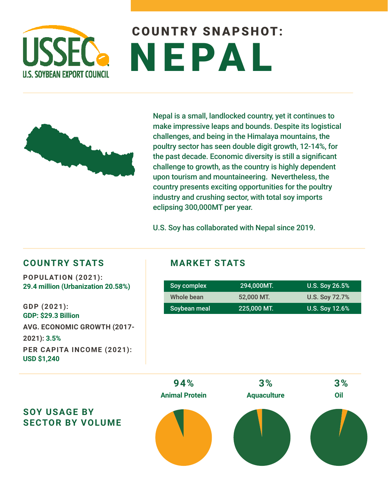

# COUNTRY SNAPSHOT: NEPAL



Nepal is a small, landlocked country, yet it continues to make impressive leaps and bounds. Despite its logistical challenges, and being in the Himalaya mountains, the poultry sector has seen double digit growth, 12-14%, for the past decade. Economic diversity is still a significant challenge to growth, as the country is highly dependent upon tourism and mountaineering. Nevertheless, the country presents exciting opportunities for the poultry industry and crushing sector, with total soy imports eclipsing 300,000MT per year.

U.S. Soy has collaborated with Nepal since 2019.

### **COUNTRY STATS MARKET STATS**

**POPULATION (2021): 29.4 million (Urbanization 20.58%)**

**GDP (2021): GDP: \$29.3 Billion AVG. ECONOMIC GROWTH (2017- 2021): 3.5% PER CAPITA INCOME (2021): USD \$1,240**

| Soy complex  | 294.000MT.  | U.S. Soy 26.5%        |
|--------------|-------------|-----------------------|
| Whole bean   | 52,000 MT.  | <b>U.S. Soy 72.7%</b> |
| Soybean meal | 225,000 MT. | U.S. Soy 12.6%        |



### **SOY USAGE BY SECTOR BY VOLUME**